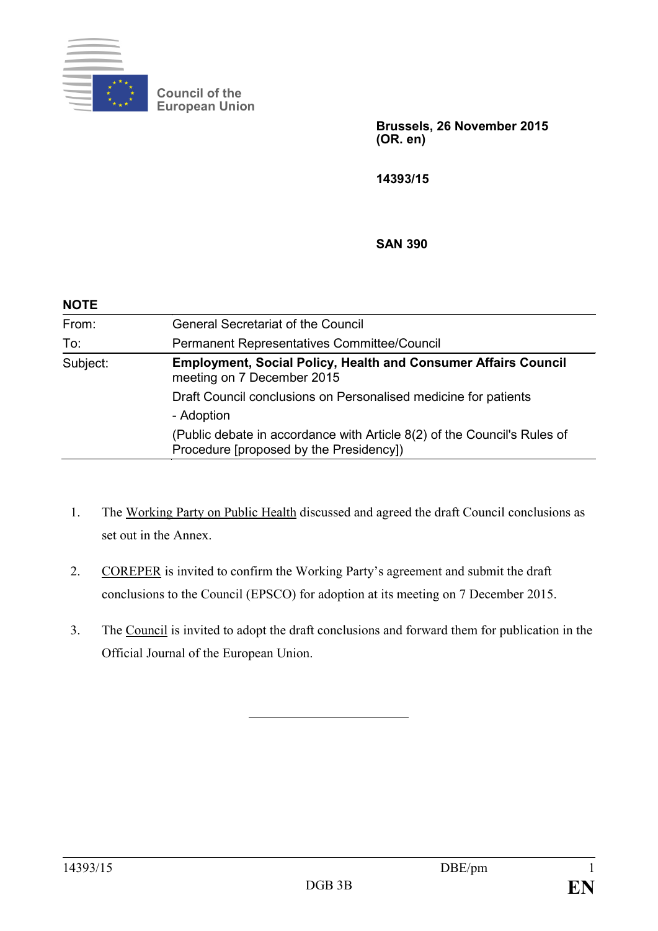

**Council of the European Union**

> **Brussels, 26 November 2015 (OR. en)**

**14393/15**

#### **SAN 390**

| <b>NOTE</b> |                                                                                                                     |
|-------------|---------------------------------------------------------------------------------------------------------------------|
| From:       | <b>General Secretariat of the Council</b>                                                                           |
| To:         | Permanent Representatives Committee/Council                                                                         |
| Subject:    | <b>Employment, Social Policy, Health and Consumer Affairs Council</b><br>meeting on 7 December 2015                 |
|             | Draft Council conclusions on Personalised medicine for patients                                                     |
|             | - Adoption                                                                                                          |
|             | (Public debate in accordance with Article 8(2) of the Council's Rules of<br>Procedure [proposed by the Presidency]) |

- 1. The Working Party on Public Health discussed and agreed the draft Council conclusions as set out in the Annex.
- 2. COREPER is invited to confirm the Working Party's agreement and submit the draft conclusions to the Council (EPSCO) for adoption at its meeting on 7 December 2015.
- 3. The Council is invited to adopt the draft conclusions and forward them for publication in the Official Journal of the European Union.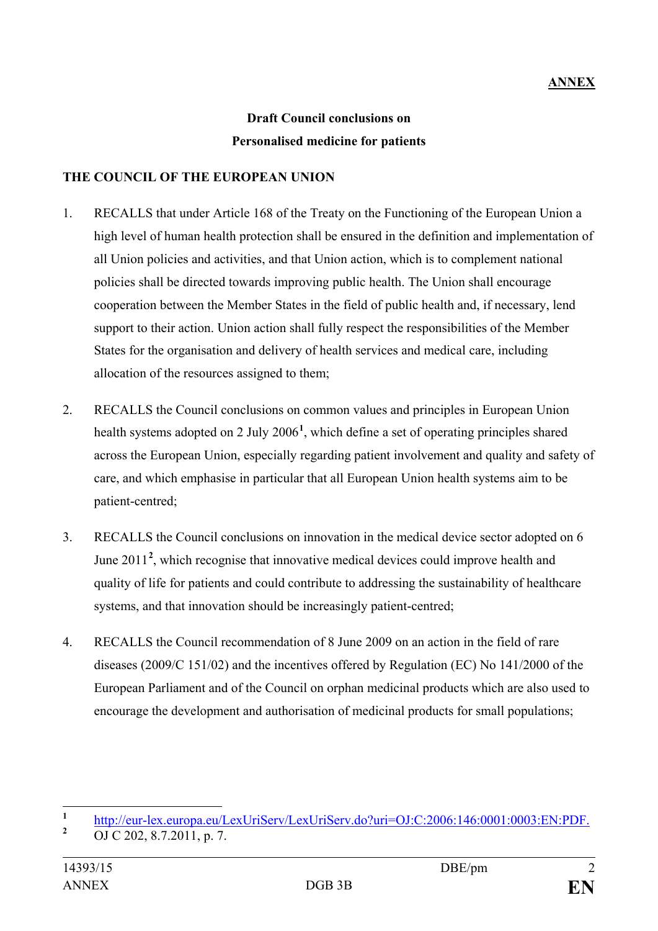# **Draft Council conclusions on Personalised medicine for patients**

### **THE COUNCIL OF THE EUROPEAN UNION**

- 1. RECALLS that under Article 168 of the Treaty on the Functioning of the European Union a high level of human health protection shall be ensured in the definition and implementation of all Union policies and activities, and that Union action, which is to complement national policies shall be directed towards improving public health. The Union shall encourage cooperation between the Member States in the field of public health and, if necessary, lend support to their action. Union action shall fully respect the responsibilities of the Member States for the organisation and delivery of health services and medical care, including allocation of the resources assigned to them;
- 2. RECALLS the Council conclusions on common values and principles in European Union health systems adopted on 2 July 2006**[1](#page-1-0)** , which define a set of operating principles shared across the European Union, especially regarding patient involvement and quality and safety of care, and which emphasise in particular that all European Union health systems aim to be patient-centred;
- 3. RECALLS the Council conclusions on innovation in the medical device sector adopted on 6 June [2](#page-1-1)011<sup>2</sup>, which recognise that innovative medical devices could improve health and quality of life for patients and could contribute to addressing the sustainability of healthcare systems, and that innovation should be increasingly patient-centred;
- 4. RECALLS the Council recommendation of 8 June 2009 on an action in the field of rare diseases (2009/C 151/02) and the incentives offered by Regulation (EC) No 141/2000 of the European Parliament and of the Council on orphan medicinal products which are also used to encourage the development and authorisation of medicinal products for small populations;

<span id="page-1-0"></span>**<sup>1</sup>** [http://eur-lex.europa.eu/LexUriServ/LexUriServ.do?uri=OJ:C:2006:146:0001:0003:EN:PDF.](http://eur-lex.europa.eu/LexUriServ/LexUriServ.do?uri=OJ:C:2006:146:0001:0003:EN:PDF) **<sup>2</sup>** OJ C 202, 8.7.2011, p. 7.

<span id="page-1-1"></span>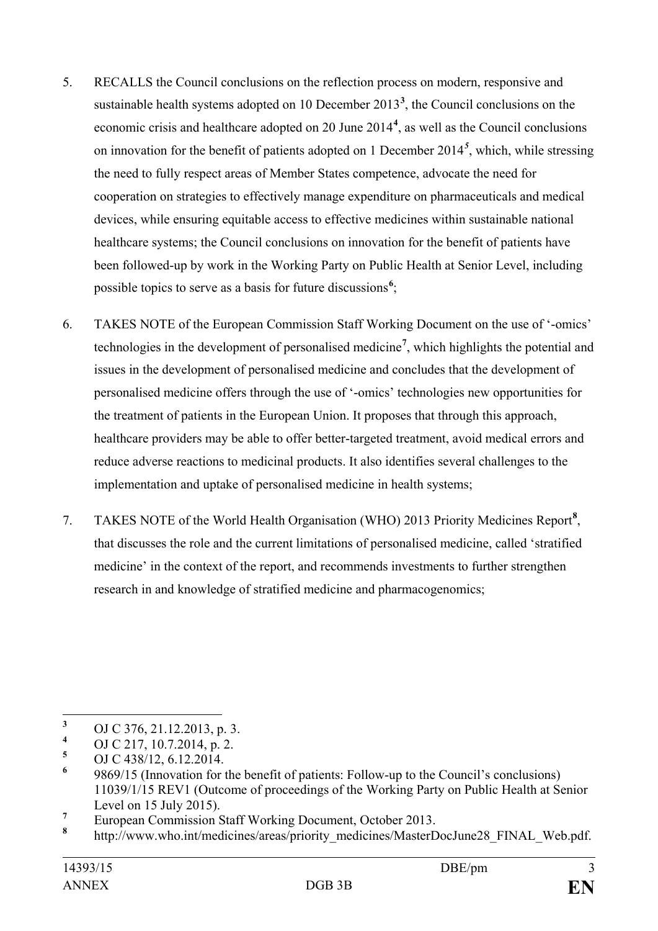- 5. RECALLS the Council conclusions on the reflection process on modern, responsive and sustainable health systems adopted on 10 December 2013**[3](#page-2-0)** , the Council conclusions on the economic crisis and healthcare adopted on 20 June 2014**[4](#page-2-1)** , as well as the Council conclusions on innovation for the benefit of patients adopted on 1 December 2014*[5](#page-2-2)* , which, while stressing the need to fully respect areas of Member States competence, advocate the need for cooperation on strategies to effectively manage expenditure on pharmaceuticals and medical devices, while ensuring equitable access to effective medicines within sustainable national healthcare systems; the Council conclusions on innovation for the benefit of patients have been followed-up by work in the Working Party on Public Health at Senior Level, including possible topics to serve as a basis for future discussions<sup>[6](#page-2-3)</sup>;
- 6. TAKES NOTE of the European Commission Staff Working Document on the use of '-omics' technologies in the development of personalised medicine**[7](#page-2-4)** , which highlights the potential and issues in the development of personalised medicine and concludes that the development of personalised medicine offers through the use of '-omics' technologies new opportunities for the treatment of patients in the European Union. It proposes that through this approach, healthcare providers may be able to offer better-targeted treatment, avoid medical errors and reduce adverse reactions to medicinal products. It also identifies several challenges to the implementation and uptake of personalised medicine in health systems;
- 7. TAKES NOTE of the World Health Organisation (WHO) 2013 Priority Medicines Report**[8](#page-2-5)** , that discusses the role and the current limitations of personalised medicine, called 'stratified medicine' in the context of the report, and recommends investments to further strengthen research in and knowledge of stratified medicine and pharmacogenomics;

<span id="page-2-0"></span><sup>&</sup>lt;sup>3</sup> OJ C 376, 21.12.2013, p. 3.<br><sup>4</sup> OJ C 217, 10.7.2014, p. 2.

<span id="page-2-1"></span> $^{4}$  OJ C 217, 10.7.2014, p. 2.

<span id="page-2-2"></span> $\frac{5}{6}$  OJ C 438/12, 6.12.2014.

<span id="page-2-3"></span>**<sup>6</sup>** 9869/15 (Innovation for the benefit of patients: Follow-up to the Council's conclusions) 11039/1/15 REV1 (Outcome of proceedings of the Working Party on Public Health at Senior

<span id="page-2-4"></span>Level on 15 July 2015).<br><sup>7</sup> European Commission Staff Working Document, October 2013.

<span id="page-2-5"></span>**<sup>8</sup>** http://www.who.int/medicines/areas/priority\_medicines/MasterDocJune28\_FINAL\_Web.pdf.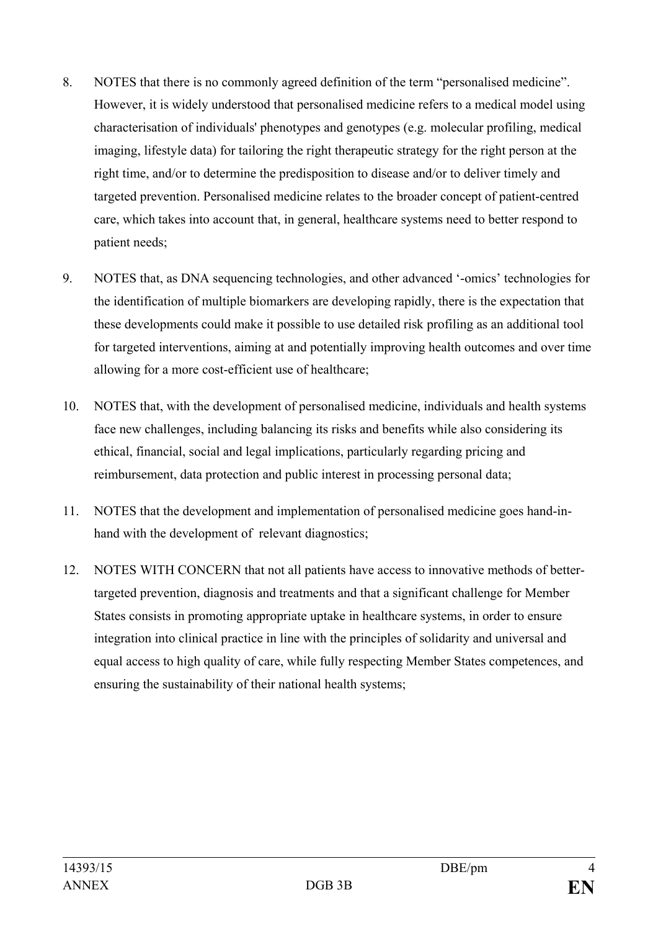- 8. NOTES that there is no commonly agreed definition of the term "personalised medicine". However, it is widely understood that personalised medicine refers to a medical model using characterisation of individuals' phenotypes and genotypes (e.g. molecular profiling, medical imaging, lifestyle data) for tailoring the right therapeutic strategy for the right person at the right time, and/or to determine the predisposition to disease and/or to deliver timely and targeted prevention. Personalised medicine relates to the broader concept of patient-centred care, which takes into account that, in general, healthcare systems need to better respond to patient needs;
- 9. NOTES that, as DNA sequencing technologies, and other advanced '-omics' technologies for the identification of multiple biomarkers are developing rapidly, there is the expectation that these developments could make it possible to use detailed risk profiling as an additional tool for targeted interventions, aiming at and potentially improving health outcomes and over time allowing for a more cost-efficient use of healthcare;
- 10. NOTES that, with the development of personalised medicine, individuals and health systems face new challenges, including balancing its risks and benefits while also considering its ethical, financial, social and legal implications, particularly regarding pricing and reimbursement, data protection and public interest in processing personal data;
- 11. NOTES that the development and implementation of personalised medicine goes hand-inhand with the development of relevant diagnostics;
- 12. NOTES WITH CONCERN that not all patients have access to innovative methods of bettertargeted prevention, diagnosis and treatments and that a significant challenge for Member States consists in promoting appropriate uptake in healthcare systems, in order to ensure integration into clinical practice in line with the principles of solidarity and universal and equal access to high quality of care, while fully respecting Member States competences, and ensuring the sustainability of their national health systems;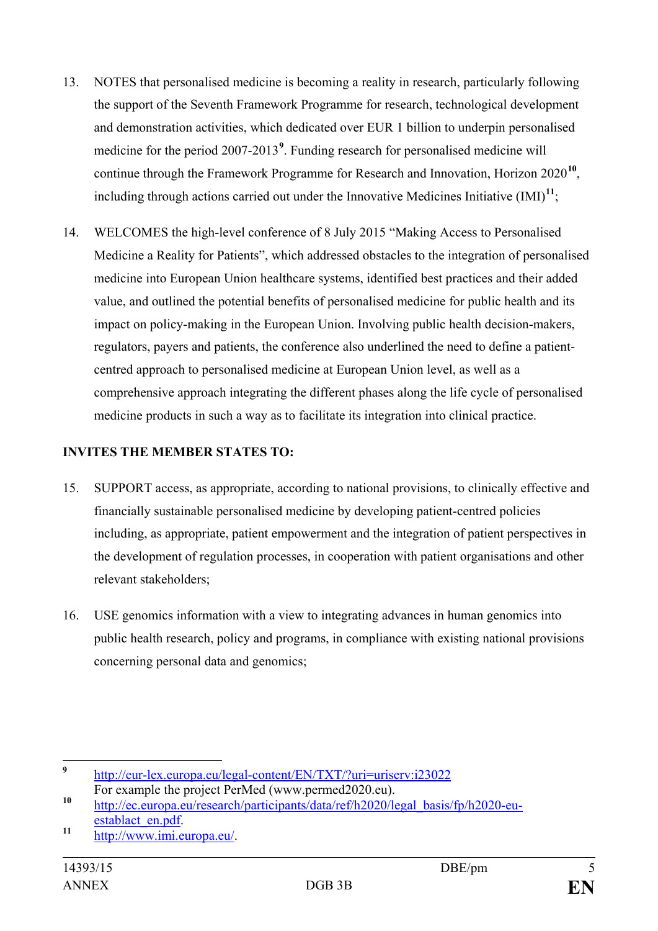- 13. NOTES that personalised medicine is becoming a reality in research, particularly following the support of the Seventh Framework Programme for research, technological development and demonstration activities, which dedicated over EUR 1 billion to underpin personalised medicine for the period 2007-2013<sup>[9](#page-4-0)</sup>. Funding research for personalised medicine will continue through the Framework Programme for Research and Innovation, Horizon 2020**[10](#page-4-1)**, including through actions carried out under the Innovative Medicines Initiative  $(IMI)^{11}$  $(IMI)^{11}$  $(IMI)^{11}$ ;
- 14. WELCOMES the high-level conference of 8 July 2015 "Making Access to Personalised Medicine a Reality for Patients", which addressed obstacles to the integration of personalised medicine into European Union healthcare systems, identified best practices and their added value, and outlined the potential benefits of personalised medicine for public health and its impact on policy-making in the European Union. Involving public health decision-makers, regulators, payers and patients, the conference also underlined the need to define a patientcentred approach to personalised medicine at European Union level, as well as a comprehensive approach integrating the different phases along the life cycle of personalised medicine products in such a way as to facilitate its integration into clinical practice.

### **INVITES THE MEMBER STATES TO:**

- 15. SUPPORT access, as appropriate, according to national provisions, to clinically effective and financially sustainable personalised medicine by developing patient-centred policies including, as appropriate, patient empowerment and the integration of patient perspectives in the development of regulation processes, in cooperation with patient organisations and other relevant stakeholders;
- 16. USE genomics information with a view to integrating advances in human genomics into public health research, policy and programs, in compliance with existing national provisions concerning personal data and genomics;

<span id="page-4-0"></span>**<sup>9</sup>** <http://eur-lex.europa.eu/legal-content/EN/TXT/?uri=uriserv:i23022>

<span id="page-4-1"></span>For example the project PerMed (www.permed2020.eu).<br> **10** [http://ec.europa.eu/research/participants/data/ref/h2020/legal\\_basis/fp/h2020-eu](http://ec.europa.eu/research/participants/data/ref/h2020/legal_basis/fp/h2020-eu-establact_en.pdf)[establact\\_en.pdf.](http://ec.europa.eu/research/participants/data/ref/h2020/legal_basis/fp/h2020-eu-establact_en.pdf) **<sup>11</sup>** [http://www.imi.europa.eu/.](http://www.imi.europa.eu/)

<span id="page-4-2"></span>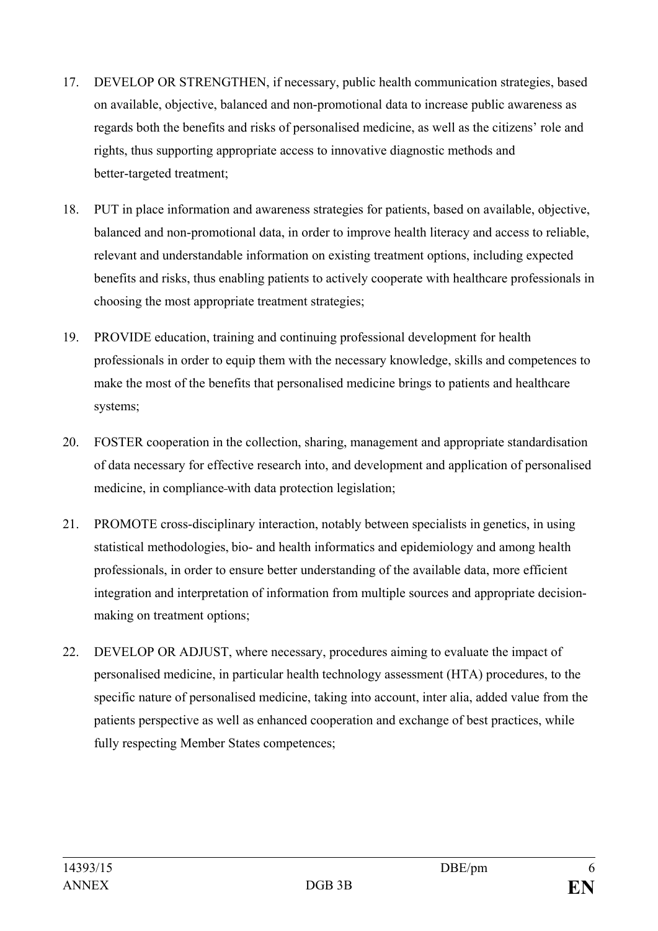- 17. DEVELOP OR STRENGTHEN, if necessary, public health communication strategies, based on available, objective, balanced and non-promotional data to increase public awareness as regards both the benefits and risks of personalised medicine, as well as the citizens' role and rights, thus supporting appropriate access to innovative diagnostic methods and better-targeted treatment;
- 18. PUT in place information and awareness strategies for patients, based on available, objective, balanced and non-promotional data, in order to improve health literacy and access to reliable, relevant and understandable information on existing treatment options, including expected benefits and risks, thus enabling patients to actively cooperate with healthcare professionals in choosing the most appropriate treatment strategies;
- 19. PROVIDE education, training and continuing professional development for health professionals in order to equip them with the necessary knowledge, skills and competences to make the most of the benefits that personalised medicine brings to patients and healthcare systems;
- 20. FOSTER cooperation in the collection, sharing, management and appropriate standardisation of data necessary for effective research into, and development and application of personalised medicine, in compliance with data protection legislation;
- 21. PROMOTE cross-disciplinary interaction, notably between specialists in genetics, in using statistical methodologies, bio- and health informatics and epidemiology and among health professionals, in order to ensure better understanding of the available data, more efficient integration and interpretation of information from multiple sources and appropriate decisionmaking on treatment options;
- 22. DEVELOP OR ADJUST, where necessary, procedures aiming to evaluate the impact of personalised medicine, in particular health technology assessment (HTA) procedures, to the specific nature of personalised medicine, taking into account, inter alia, added value from the patients perspective as well as enhanced cooperation and exchange of best practices, while fully respecting Member States competences;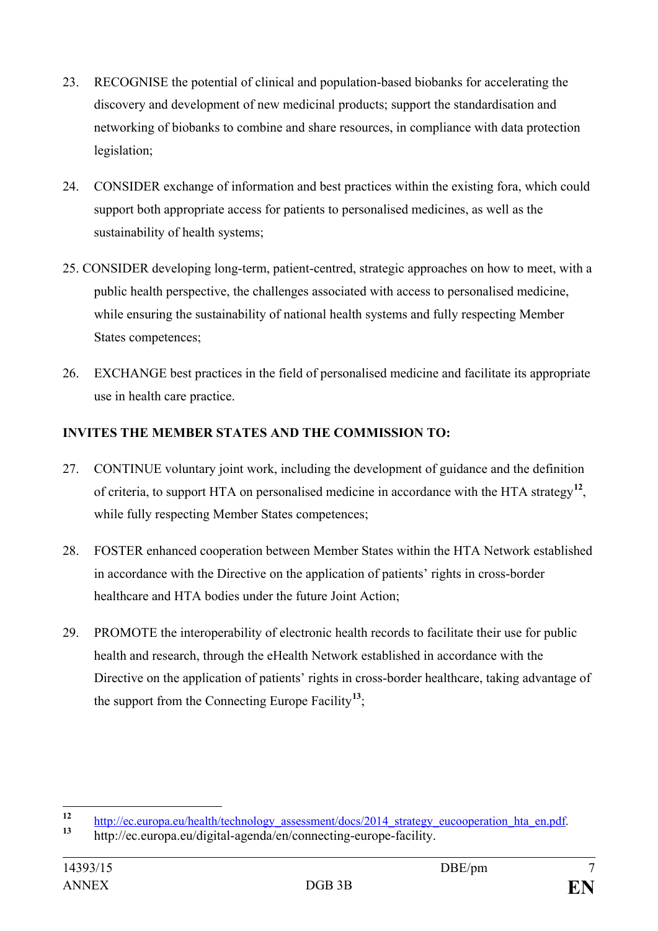- 23. RECOGNISE the potential of clinical and population-based biobanks for accelerating the discovery and development of new medicinal products; support the standardisation and networking of biobanks to combine and share resources, in compliance with data protection legislation;
- 24. CONSIDER exchange of information and best practices within the existing fora, which could support both appropriate access for patients to personalised medicines, as well as the sustainability of health systems;
- 25. CONSIDER developing long-term, patient-centred, strategic approaches on how to meet, with a public health perspective, the challenges associated with access to personalised medicine, while ensuring the sustainability of national health systems and fully respecting Member States competences;
- 26. EXCHANGE best practices in the field of personalised medicine and facilitate its appropriate use in health care practice.

## **INVITES THE MEMBER STATES AND THE COMMISSION TO:**

- 27. CONTINUE voluntary joint work, including the development of guidance and the definition of criteria, to support HTA on personalised medicine in accordance with the HTA strategy**[12](#page-6-0)**, while fully respecting Member States competences;
- 28. FOSTER enhanced cooperation between Member States within the HTA Network established in accordance with the Directive on the application of patients' rights in cross-border healthcare and HTA bodies under the future Joint Action;
- 29. PROMOTE the interoperability of electronic health records to facilitate their use for public health and research, through the eHealth Network established in accordance with the Directive on the application of patients' rights in cross-border healthcare, taking advantage of the support from the Connecting Europe Facility**[13](#page-6-1)**;

<span id="page-6-0"></span>**<sup>12</sup>** [http://ec.europa.eu/health/technology\\_assessment/docs/2014\\_strategy\\_eucooperation\\_hta\\_en.pdf.](http://ec.europa.eu/health/technology_assessment/docs/2014_strategy_eucooperation_hta_en.pdf) **<sup>13</sup>** http://ec.europa.eu/digital-agenda/en/connecting-europe-facility.

<span id="page-6-1"></span>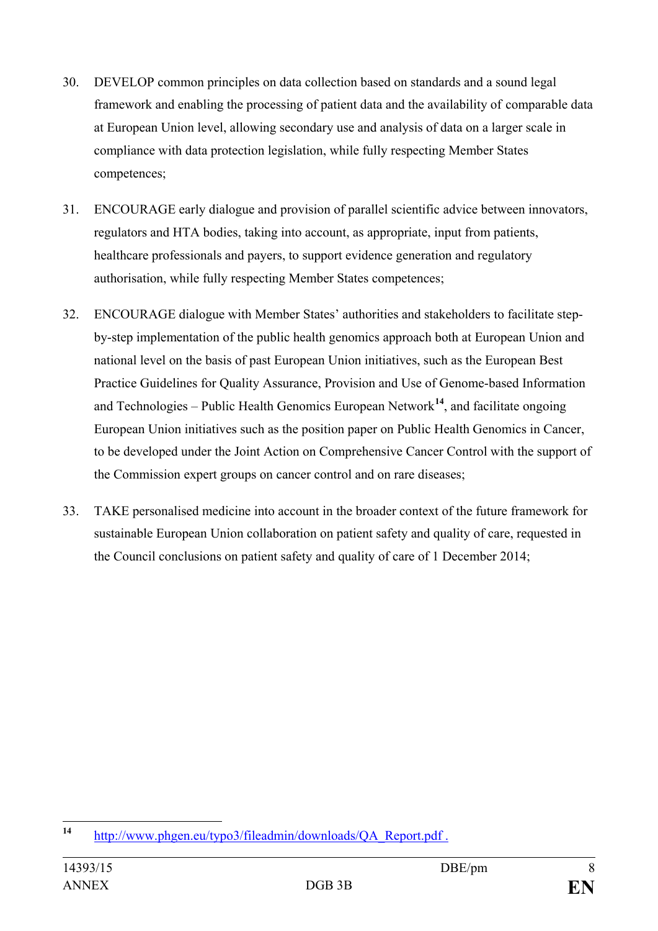- 30. DEVELOP common principles on data collection based on standards and a sound legal framework and enabling the processing of patient data and the availability of comparable data at European Union level, allowing secondary use and analysis of data on a larger scale in compliance with data protection legislation, while fully respecting Member States competences;
- 31. ENCOURAGE early dialogue and provision of parallel scientific advice between innovators, regulators and HTA bodies, taking into account, as appropriate, input from patients, healthcare professionals and payers, to support evidence generation and regulatory authorisation, while fully respecting Member States competences;
- 32. ENCOURAGE dialogue with Member States' authorities and stakeholders to facilitate stepby-step implementation of the public health genomics approach both at European Union and national level on the basis of past European Union initiatives, such as the European Best Practice Guidelines for Quality Assurance, Provision and Use of Genome-based Information and Technologies – Public Health Genomics European Network**[14](#page-7-0)**, and facilitate ongoing European Union initiatives such as the position paper on Public Health Genomics in Cancer, to be developed under the Joint Action on Comprehensive Cancer Control with the support of the Commission expert groups on cancer control and on rare diseases;
- 33. TAKE personalised medicine into account in the broader context of the future framework for sustainable European Union collaboration on patient safety and quality of care, requested in the Council conclusions on patient safety and quality of care of 1 December 2014;

<span id="page-7-0"></span>**<sup>14</sup>** [http://www.phgen.eu/typo3/fileadmin/downloads/QA\\_Report.pdf](http://www.phgen.eu/typo3/fileadmin/downloads/QA_Report.pdf) .